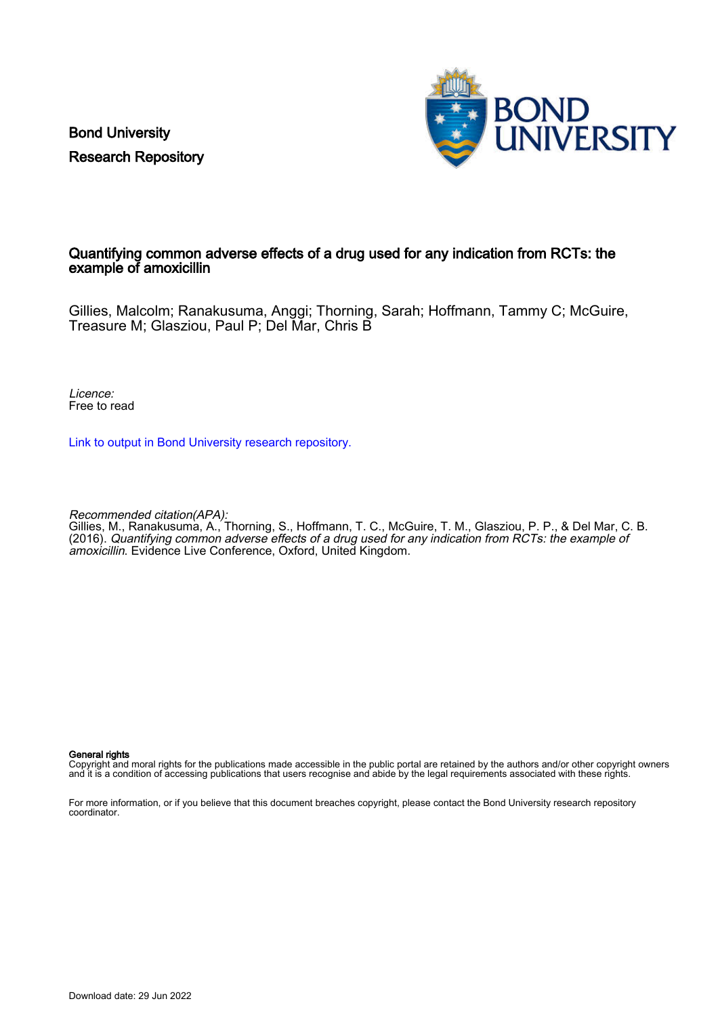Bond University Research Repository



#### Quantifying common adverse effects of a drug used for any indication from RCTs: the example of amoxicillin

Gillies, Malcolm; Ranakusuma, Anggi; Thorning, Sarah; Hoffmann, Tammy C; McGuire, Treasure M; Glasziou, Paul P; Del Mar, Chris B

Licence: Free to read

[Link to output in Bond University research repository.](https://research.bond.edu.au/en/publications/5d7e6cdc-0840-4192-9b94-9dcb5e3b4d1c)

Recommended citation(APA):

Gillies, M., Ranakusuma, A., Thorning, S., Hoffmann, T. C., McGuire, T. M., Glasziou, P. P., & Del Mar, C. B. (2016). Quantifying common adverse effects of a drug used for any indication from RCTs: the example of amoxicillin. Evidence Live Conference, Oxford, United Kingdom.

#### General rights

Copyright and moral rights for the publications made accessible in the public portal are retained by the authors and/or other copyright owners and it is a condition of accessing publications that users recognise and abide by the legal requirements associated with these rights.

For more information, or if you believe that this document breaches copyright, please contact the Bond University research repository coordinator.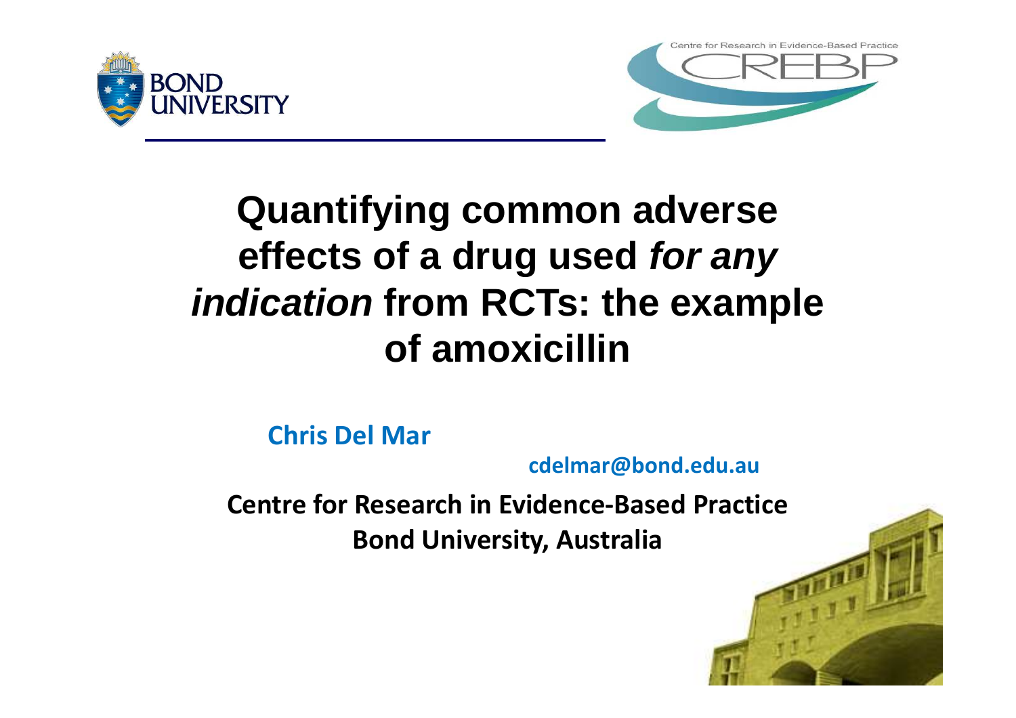



# **Quantifying common adverse effects of a drug used** *for any indication* **from RCTs: the example of amoxicillin**

**Chris Del Mar**

**cdelmar@bond.edu.au**

**Centre for Research in Evidence-Based Practice Bond University, Australia**

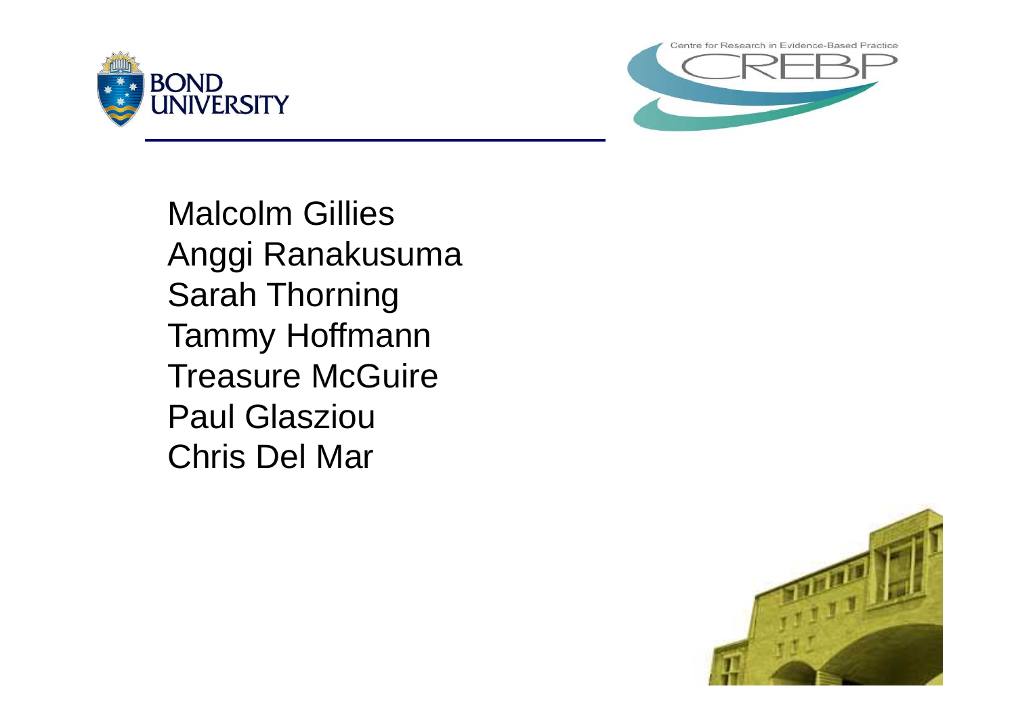



Malcolm Gillies Anggi Ranakusuma Sarah Thorning Tammy Hoffmann Treasure McGuire Paul Glasziou Chris Del Mar

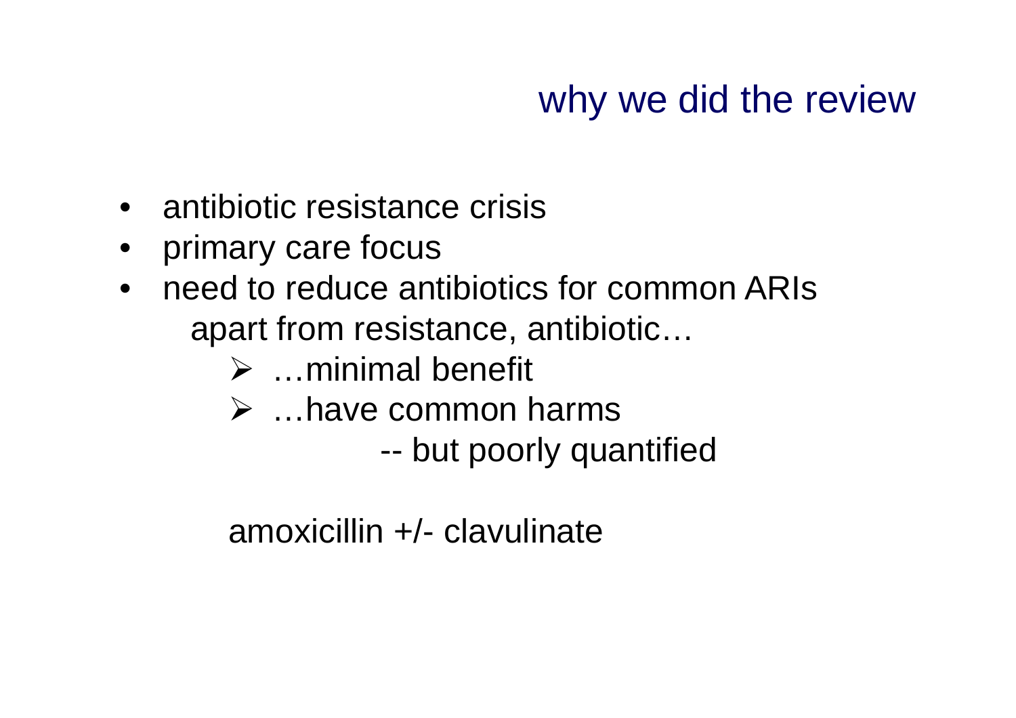# why we did the review

- antibiotic resistance crisis
- primary care focus
- need to reduce antibiotics for common ARIs apart from resistance, antibiotic…
	- $\triangleright$  ... minimal benefit
	- …have common harms
		- -- but poorly quantified

amoxicillin +/- clavulinate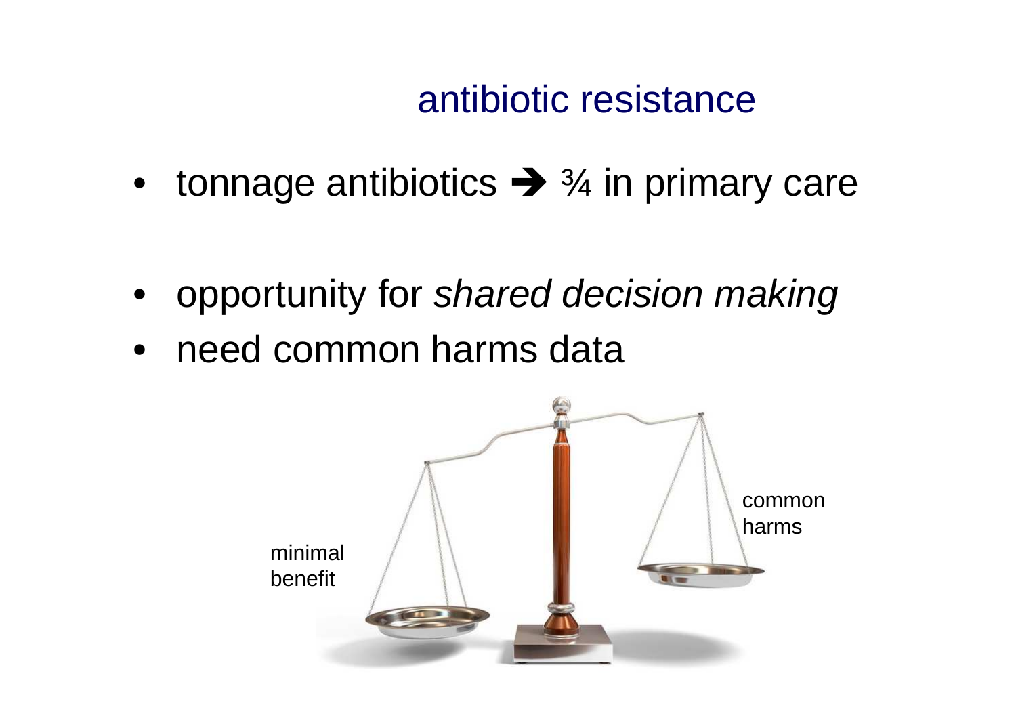# antibiotic resistance

- tonnage antibiotics  $\rightarrow$   $\frac{3}{4}$  in primary care
- opportunity for *shared decision making*
- need common harms data

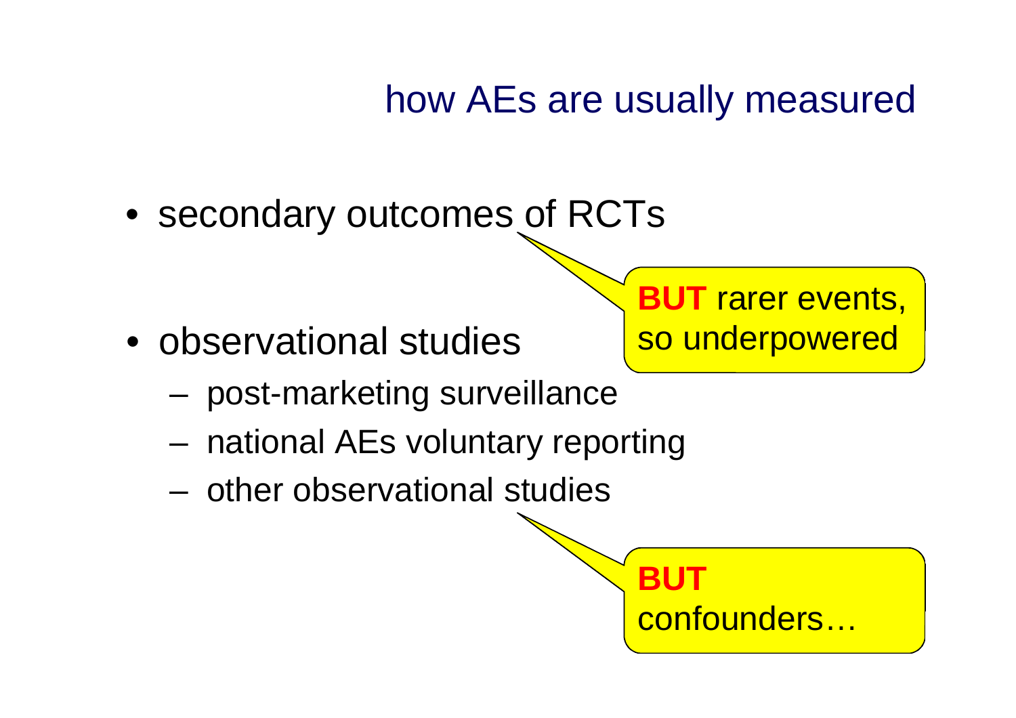## how AEs are usually measured

• secondary outcomes of RCTs

• observational studies

**BUT** rarer events, so underpowered

- post-marketing surveillance
- national AEs voluntary reporting
- other observational studies

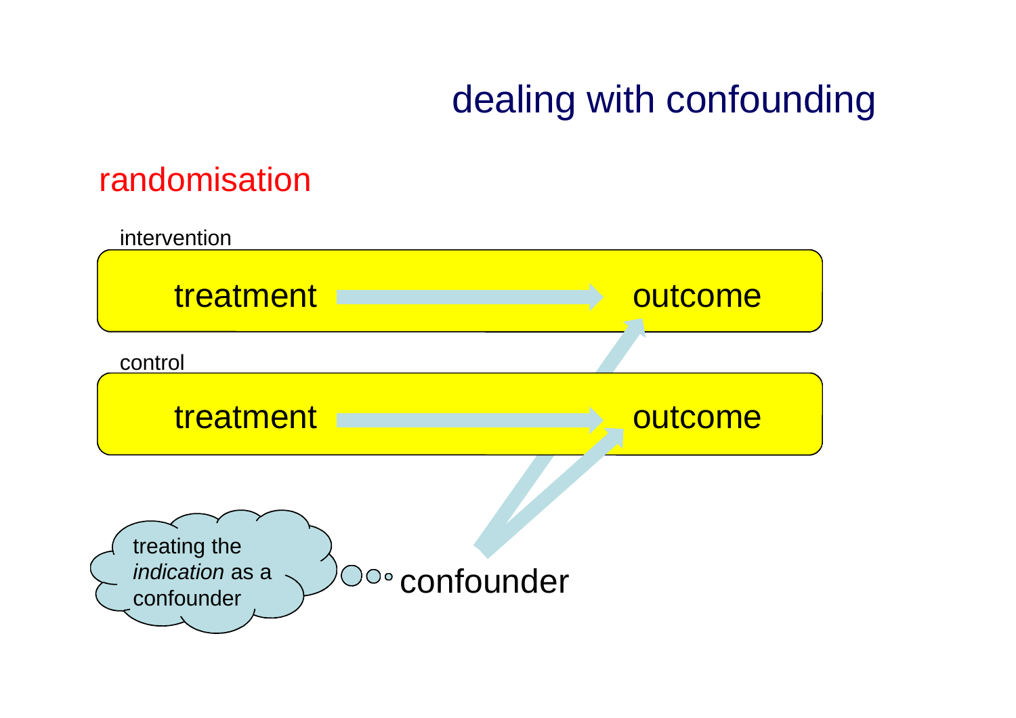# dealing with confounding

### randomisation

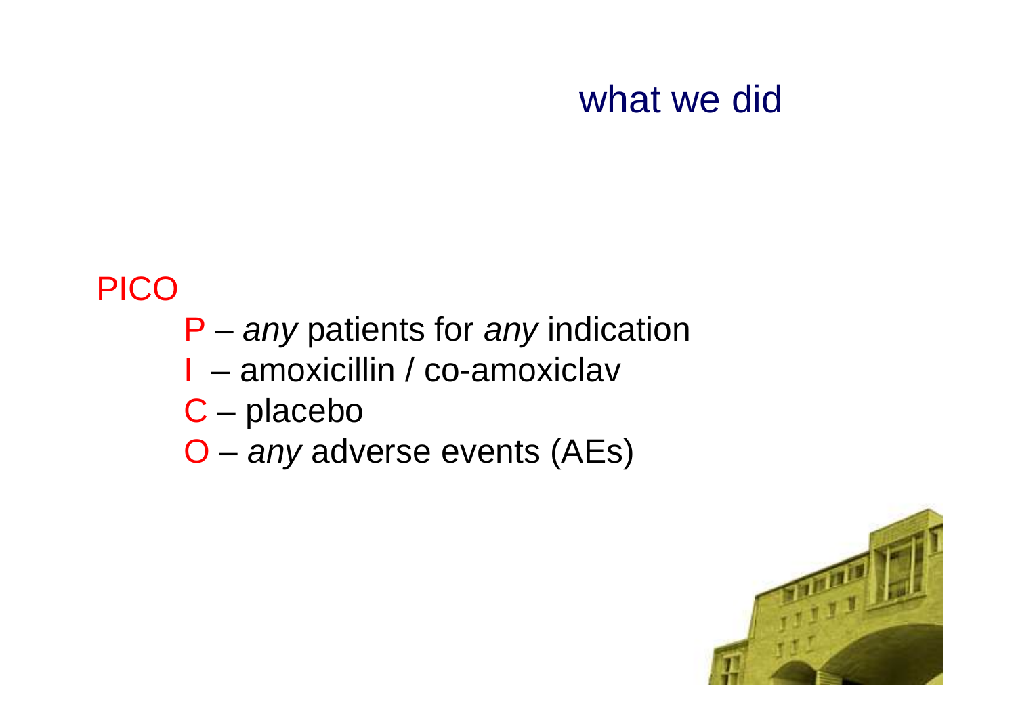# what we did

### PICO

- P *any* patients for *any* indication
- I amoxicillin / co-amoxiclav
- C placebo
- O *any* adverse events (AEs)

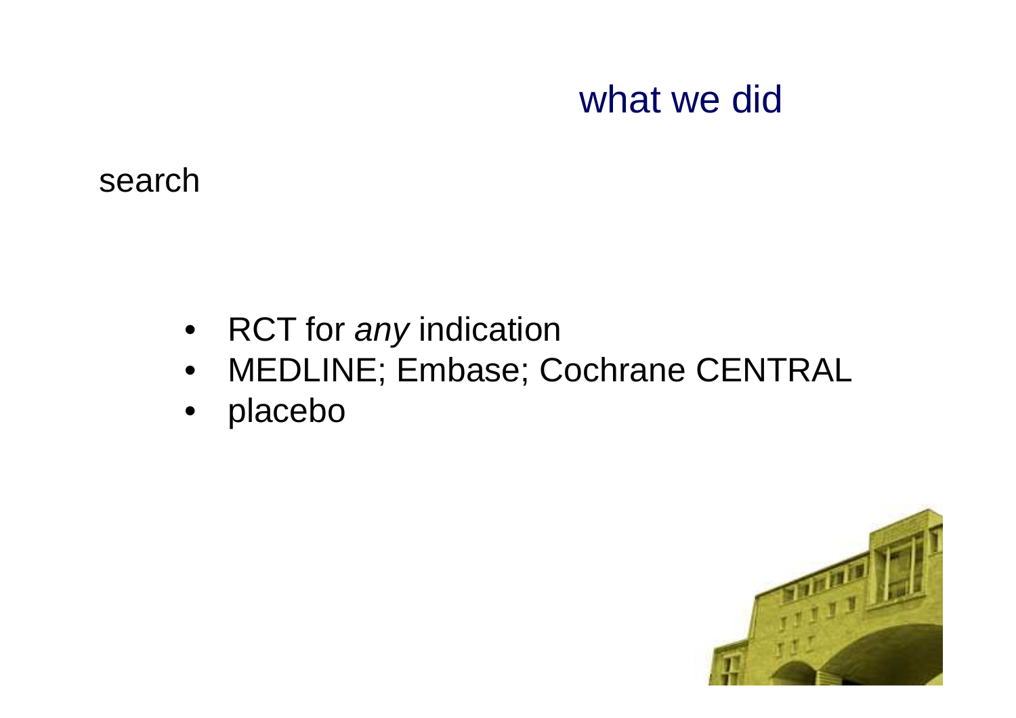## what we did

search

- RCT for *any* indication
- MEDLINE; Embase; Cochrane CENTRAL
- placebo

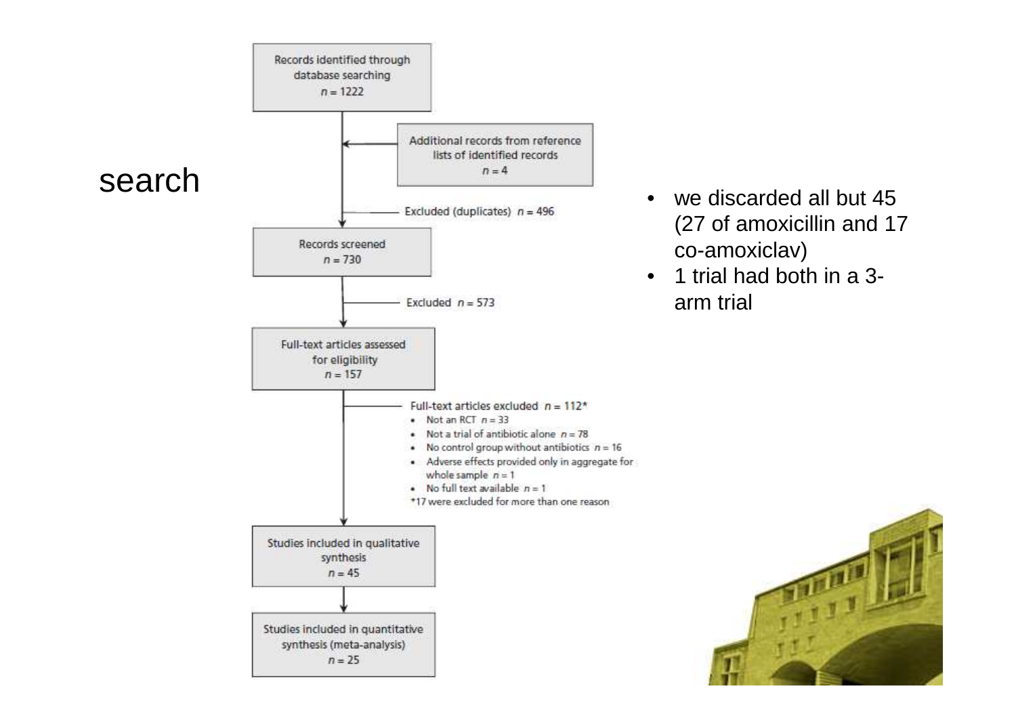

- (27 of amoxicillin and 17 co-amoxiclav)
- 1 trial had both in a 3 arm trial

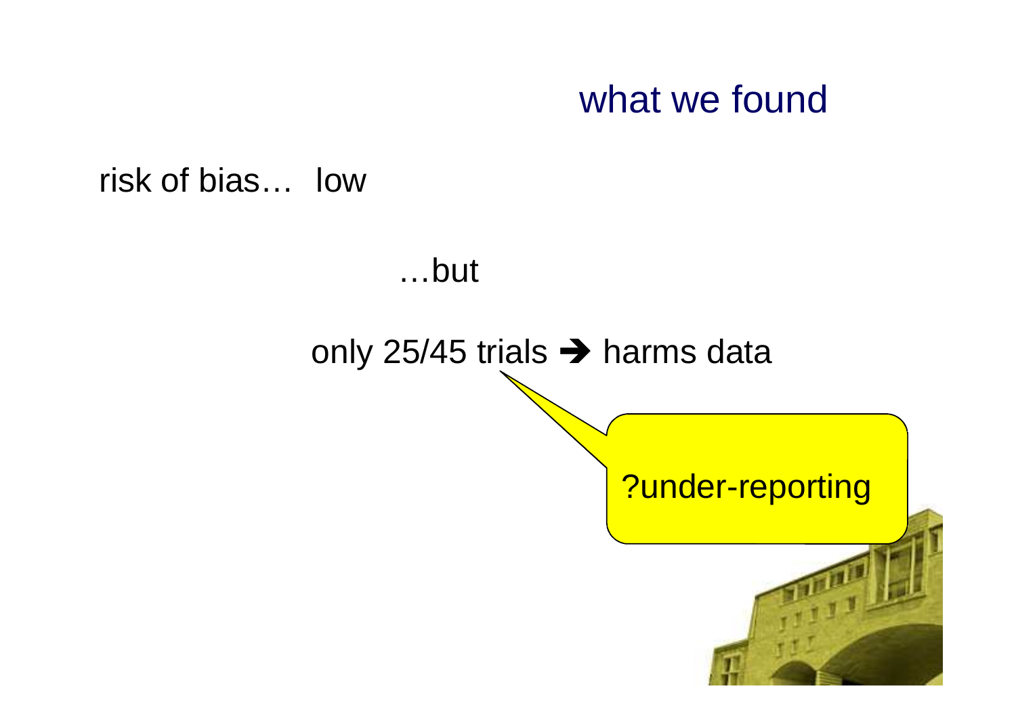## what we found

risk of bias… low

#### …but

#### only 25/45 trials  $\rightarrow$  harms data

#### ?under-reporting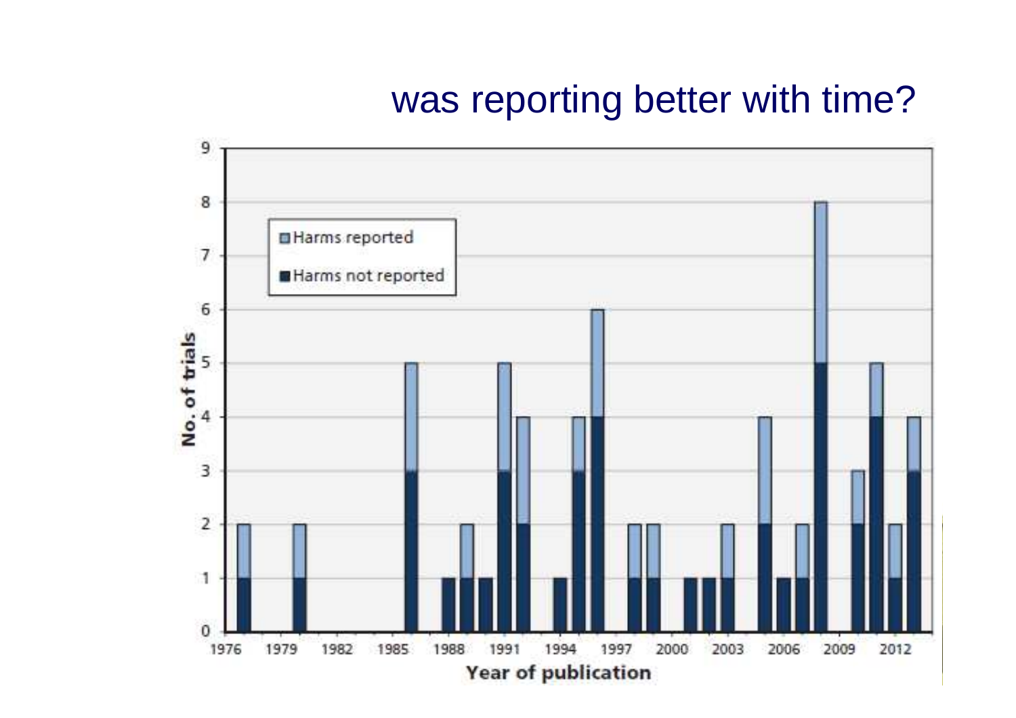## was reporting better with time?

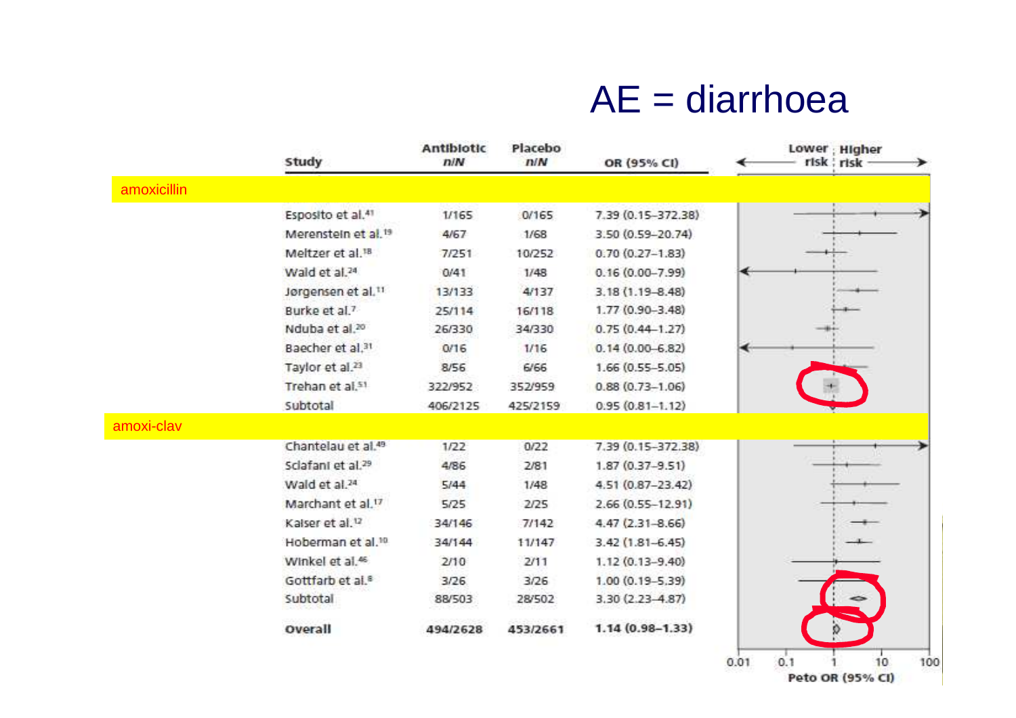## $AE =$  diarrhoea

|             | Study                           | Antibiotic<br>n/N | Placebo<br>N/N | OR (95% CI)         |      |     | Lower ; Higher<br>risk ; risk |     |
|-------------|---------------------------------|-------------------|----------------|---------------------|------|-----|-------------------------------|-----|
| amoxicillin |                                 |                   |                |                     |      |     |                               |     |
|             | Esposito et al. <sup>41</sup>   | 1/165             | 0/165          | 7.39 (0.15-372.38)  |      |     |                               |     |
|             | Merenstein et al. <sup>19</sup> | 4/67              | 1/68           | 3.50 (0.59-20.74)   |      |     |                               |     |
|             | Meltzer et al. <sup>18</sup>    | 7/251             | 10/252         | $0.70(0.27 - 1.83)$ |      |     |                               |     |
|             | Wald et al. <sup>24</sup>       | 0/41              | 1/48           | $0.16(0.00 - 7.99)$ |      |     |                               |     |
|             | Jørgensen et al.11              | 13/133            | 4/137          | 3.18 (1.19-8.48)    |      |     |                               |     |
|             | Burke et al. <sup>7</sup>       | 25/114            | 16/118         | 1.77 (0.90-3.48)    |      |     |                               |     |
|             | Nduba et al. <sup>20</sup>      | 26/330            | 34/330         | $0.75(0.44 - 1.27)$ |      |     |                               |     |
|             | Baecher et al.31                | 0/16              | 1/16           | $0.14(0.00 - 6.82)$ | ◀    |     |                               |     |
|             | Taylor et al. <sup>23</sup>     | 8/56              | 6/66           | $1.66(0.55 - 5.05)$ |      |     |                               |     |
|             | Trehan et al.51                 | 322/952           | 352/959        | $0.88(0.73 - 1.06)$ |      |     |                               |     |
|             | Subtotal                        | 406/2125          | 425/2159       | $0.95(0.81 - 1.12)$ |      |     |                               |     |
| amoxi-clav  |                                 |                   |                |                     |      |     |                               |     |
|             | Chantelau et al. <sup>49</sup>  | 1/22              | 0/22           | 7.39 (0.15-372.38)  |      |     |                               |     |
|             | Sclafant et al. <sup>29</sup>   | 4/86              | 2/81           | $1.87(0.37 - 9.51)$ |      |     |                               |     |
|             | Wald et al. <sup>24</sup>       | 5/44              | 1/48           | 4.51 (0.87-23.42)   |      |     |                               |     |
|             | Marchant et al. <sup>17</sup>   | 5/25              | 2/25           | 2.66 (0.55-12.91)   |      |     |                               |     |
|             | Kalser et al. <sup>12</sup>     | 34/146            | 7/142          | $4.47(2.31 - 8.66)$ |      |     |                               |     |
|             | Hoberman et al. <sup>10</sup>   | 34/144            | 11/147         | $3.42(1.81 - 6.45)$ |      |     |                               |     |
|             | Winkel et al. <sup>46</sup>     | 2/10              | 2/11           | 1.12 (0.13-9.40)    |      |     |                               |     |
|             | Gottfarb et al. <sup>8</sup>    | 3/26              | 3/26           | 1.00 (0.19-5.39)    |      |     |                               |     |
|             | Subtotal                        | 88/503            | 28/502         | 3.30 (2.23-4.87)    |      |     | -                             |     |
|             | Overall                         | 494/2628          | 453/2661       | $1.14(0.98 - 1.33)$ |      |     |                               |     |
|             |                                 |                   |                |                     | 0.01 | 0.1 | 10                            | 100 |

Peto OR (95% CI)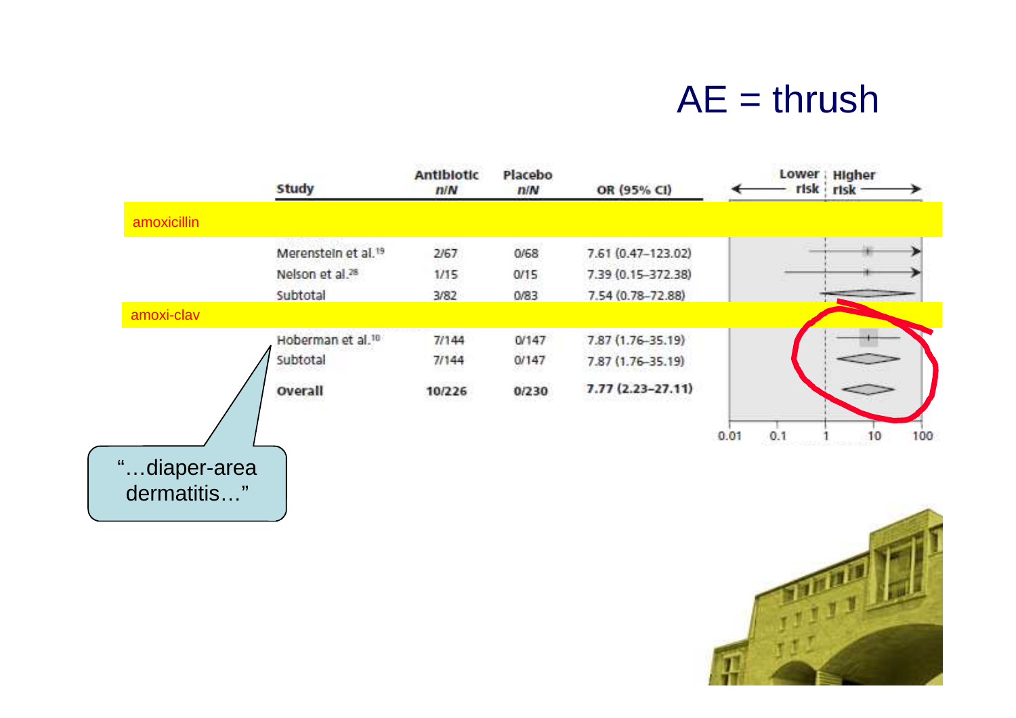## $AE =$ thrush

|              | <b>Study</b>                  | Antibiotic<br>n/N | Placebo<br>n/N | OR (95% CI)          |      |     | Lower : Higher<br>risk risk- |     |
|--------------|-------------------------------|-------------------|----------------|----------------------|------|-----|------------------------------|-----|
| amoxicillin  |                               |                   |                |                      |      |     |                              |     |
|              | Merenstein et al.19           | 2/67              | 0/68           | 7.61 (0.47-123.02)   |      |     |                              |     |
|              | Nelson et al. <sup>28</sup>   | 1/15              | 0/15           | 7.39 (0.15-372.38)   |      |     |                              |     |
|              | Subtotal                      | 3/82              | 0/83           | 7.54 (0.78-72.88)    |      |     |                              |     |
| amoxi-clav   |                               |                   |                |                      |      |     |                              |     |
|              | Hoberman et al. <sup>10</sup> | 7/144             | 0/147          | 7.87 (1.76-35.19)    |      |     |                              |     |
|              | Subtotal                      | 7/144             | 0/147          | 7.87 (1.76-35.19)    |      |     |                              |     |
|              | Overall                       | 10/226            | 0/230          | $7.77(2.23 - 27.11)$ |      |     | ≎                            |     |
|              |                               |                   |                |                      | 0.01 | 0.1 | 10                           | 100 |
| "diaper-area |                               |                   |                |                      |      |     |                              |     |
| dermatitis"  |                               |                   |                |                      |      |     |                              |     |

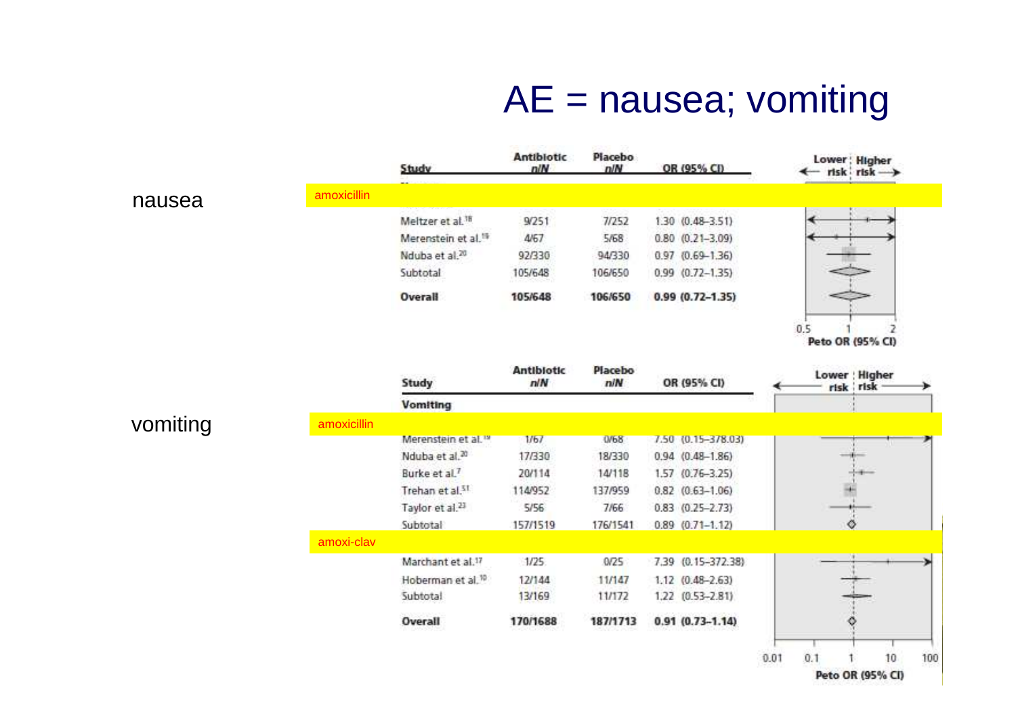# AE = nausea; vomiting

|          |             | Study                           | <b>Antibiotic</b><br>n/N | Placebo<br>n/N | OR (95% CI)            | Lower: Higher<br>← risk risk → |           |
|----------|-------------|---------------------------------|--------------------------|----------------|------------------------|--------------------------------|-----------|
| nausea   | amoxicillin |                                 |                          |                |                        |                                |           |
|          |             | Meltzer et al. <sup>18</sup>    | 9/251                    | 7/252          | 1.30 (0.48-3.51)       |                                |           |
|          |             | Merenstein et al. <sup>15</sup> | 4/67                     | 5/68           | $0.80$ $(0.21 - 3.09)$ |                                |           |
|          |             | Nduba et al. <sup>20</sup>      | 92/330                   | 94/330         | $0.97$ $(0.69 - 1.36)$ |                                |           |
|          |             | Subtotal                        | 105/648                  | 106/650        | $0.99$ $(0.72 - 1.35)$ |                                |           |
|          |             | <b>Overall</b>                  | 105/648                  | 106/650        | $0.99(0.72 - 1.35)$    |                                |           |
|          |             |                                 |                          |                |                        | 0.5<br>Peto OR (95% CI)        | 2         |
|          |             | Study                           | <b>Antibiotic</b><br>n/N | Placebo<br>n/N | OR (95% CI)            | Lower : Higher<br>risk risk    |           |
|          |             | <b>Vomiting</b>                 |                          |                |                        |                                |           |
| vomiting | amoxicillin |                                 |                          |                |                        |                                |           |
|          |             | Merenstein et al. <sup>19</sup> | 1/67                     | 0/68           | 7.50 (0.15-378.03)     |                                |           |
|          |             | Nduba et al. <sup>20</sup>      | 17/330                   | 18/330         | $0.94$ $(0.48 - 1.86)$ |                                |           |
|          |             | Burke et al. <sup>7</sup>       | 20/114                   | 14/118         | 1.57 (0.76-3.25)       |                                |           |
|          |             | Trehan et al.51                 | 114/952                  | 137/959        | $0.82$ $(0.63 - 1.06)$ |                                |           |
|          |             | Taylor et al. <sup>23</sup>     | 5/56                     | 7/66           | $0.83$ $(0.25 - 2.73)$ |                                |           |
|          |             | Subtotal                        | 157/1519                 | 176/1541       | $0.89$ $(0.71 - 1.12)$ | Ø                              |           |
|          | amoxi-clav  |                                 |                          |                |                        |                                |           |
|          |             | Marchant et al.17               | 1/25                     | 0/25           | 7.39 (0.15-372.38)     |                                |           |
|          |             | Hoberman et al. <sup>10</sup>   | 12/144                   | 11/147         | 1.12 (0.48-2.63)       |                                |           |
|          |             | Subtotal                        | 13/169                   | 11/172         | 1.22 (0.53-2.81)       |                                |           |
|          |             | Overall                         | 170/1688                 | 187/1713       | $0.91(0.73 - 1.14)$    |                                |           |
|          |             |                                 |                          |                |                        | 0.1<br>0.01                    | 10<br>100 |

Peto OR (95% CI)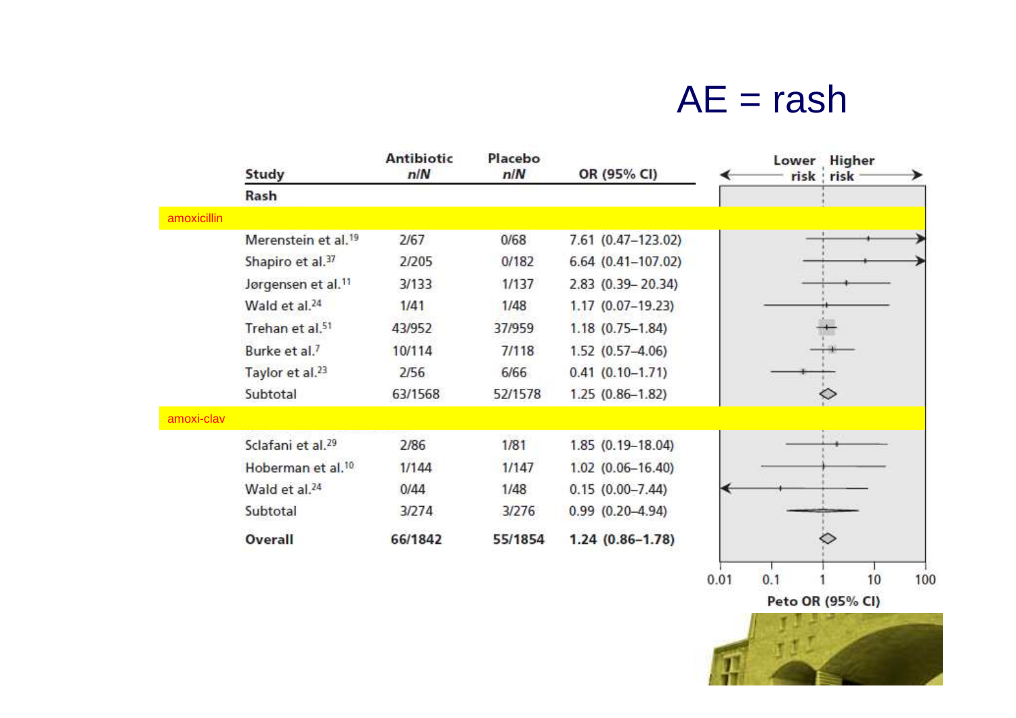## $AE =$ rash

|             | Study                           | <b>Antibiotic</b><br>n/N | Placebo<br>n/N | OR (95% CI)             |      |     | Lower Higher<br>risk risk |     |
|-------------|---------------------------------|--------------------------|----------------|-------------------------|------|-----|---------------------------|-----|
|             | Rash                            |                          |                |                         |      |     |                           |     |
| amoxicillin |                                 |                          |                |                         |      |     |                           |     |
|             | Merenstein et al. <sup>19</sup> | 2/67                     | 0/68           | 7.61 (0.47-123.02)      |      |     |                           |     |
|             | Shapiro et al. <sup>37</sup>    | 2/205                    | 0/182          | $6.64(0.41-107.02)$     |      |     |                           |     |
|             | Jørgensen et al. <sup>11</sup>  | 3/133                    | 1/137          | 2.83 (0.39 - 20.34)     |      |     |                           |     |
|             | Wald et al. <sup>24</sup>       | 1/41                     | 1/48           | $1.17(0.07-19.23)$      |      |     |                           |     |
|             | Trehan et al.51                 | 43/952                   | 37/959         | $1.18(0.75 - 1.84)$     |      |     |                           |     |
|             | Burke et al. <sup>7</sup>       | 10/114                   | 7/118          | 1.52 (0.57-4.06)        |      |     |                           |     |
|             | Taylor et al. <sup>23</sup>     | 2/56                     | 6/66           | $0.41(0.10-1.71)$       |      |     |                           |     |
|             | Subtotal                        | 63/1568                  | 52/1578        | $1.25(0.86 - 1.82)$     |      |     |                           |     |
| amoxi-clav  |                                 |                          |                |                         |      |     |                           |     |
|             | Sclafani et al. <sup>29</sup>   | 2/86                     | 1/81           | 1.85 (0.19-18.04)       |      |     |                           |     |
|             | Hoberman et al. <sup>10</sup>   | 1/144                    | 1/147          | $1.02$ $(0.06 - 16.40)$ |      |     |                           |     |
|             | Wald et al. <sup>24</sup>       | 0/44                     | 1/48           | $0.15(0.00 - 7.44)$     |      |     |                           |     |
|             | Subtotal                        | 3/274                    | 3/276          | $0.99$ $(0.20 - 4.94)$  |      |     |                           |     |
|             | Overall                         | 66/1842                  | 55/1854        | $1.24(0.86 - 1.78)$     |      |     |                           |     |
|             |                                 |                          |                |                         | 0.01 | 0.1 | 10                        | 100 |

Peto OR (95% CI)

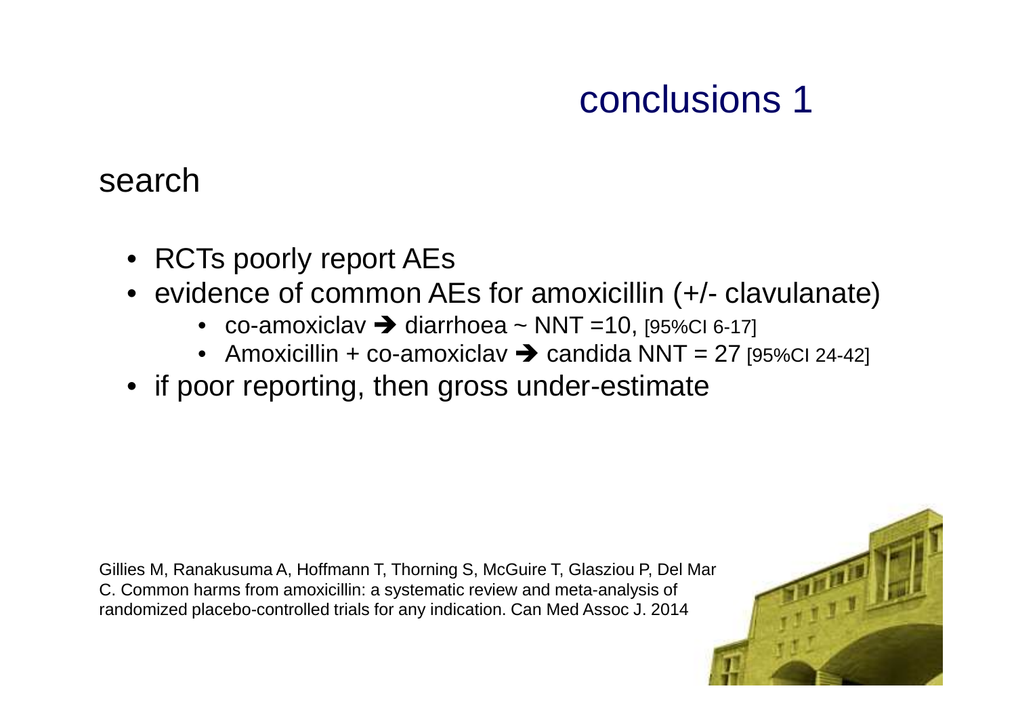# conclusions 1

#### search

- RCTs poorly report AEs
- evidence of common AEs for amoxicillin (+/- clavulanate)
	- co-amoxiclav  $\rightarrow$  diarrhoea ~ NNT = 10, [95%CI 6-17]
	- Amoxicillin + co-amoxiclav  $\rightarrow$  candida NNT = 27 [95%CI 24-42]
- if poor reporting, then gross under-estimate

Gillies M, Ranakusuma A, Hoffmann T, Thorning S, McGuire T, Glasziou P, Del Mar C. Common harms from amoxicillin: a systematic review and meta-analysis of randomized placebo-controlled trials for any indication. Can Med Assoc J. 2014